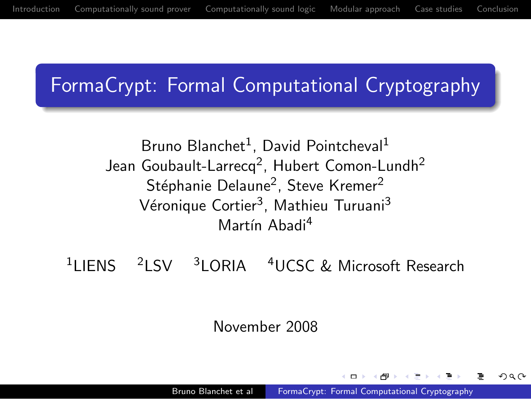## FormaCrypt: Formal Computational Cryptography

### Bruno Blanchet<sup>1</sup>, David Pointcheval<sup>1</sup> Jean Goubault-Larrecq<sup>2</sup>, Hubert Comon-Lundh<sup>2</sup> Stéphanie Delaune<sup>2</sup>, Steve Kremer<sup>2</sup> Véronique Cortier<sup>3</sup>, Mathieu Turuani<sup>3</sup> Martín Ahadi<sup>4</sup>

<sup>1</sup>LIENS <sup>2</sup>LSV <sup>3</sup>LORIA <sup>4</sup>UCSC & Microsoft Research

<span id="page-0-0"></span>November 2008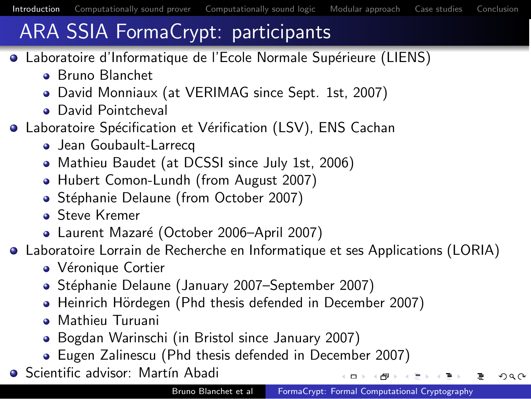<span id="page-1-0"></span> $\Omega$ 

# ARA SSIA FormaCrypt: participants

- Laboratoire d'Informatique de l'Ecole Normale Supérieure (LIENS)
	- Bruno Blanchet
	- David Monniaux (at VERIMAG since Sept. 1st, 2007)
	- **a** David Pointcheval
- **Laboratoire Spécification et Vérification (LSV), ENS Cachan** 
	- Jean Goubault-Larrecq
	- Mathieu Baudet (at DCSSI since July 1st, 2006)
	- Hubert Comon-Lundh (from August 2007)
	- Stéphanie Delaune (from October 2007)
	- **a** Steve Kremer
	- Laurent Mazaré (October 2006–April 2007)
- Laboratoire Lorrain de Recherche en Informatique et ses Applications (LORIA)
	- Véronique Cortier
	- Stéphanie Delaune (January 2007–September 2007)
	- Heinrich Hördegen (Phd thesis defended in December 2007)
	- **Mathieu Turuani**
	- Bogdan Warinschi (in Bristol since January 2007)
	- Eugen Zalinescu (Phd thesis defended in December 2007)
- **•** Scientific advisor: Martín Abadi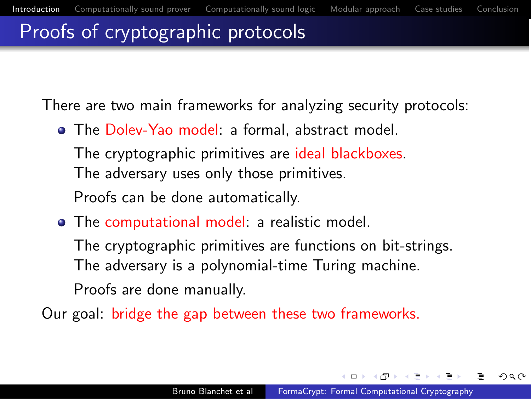## Proofs of cryptographic protocols

There are two main frameworks for analyzing security protocols:

• The Dolev-Yao model: a formal, abstract model.

The cryptographic primitives are ideal blackboxes. The adversary uses only those primitives. Proofs can be done automatically.

• The computational model: a realistic model.

The cryptographic primitives are functions on bit-strings. The adversary is a polynomial-time Turing machine. Proofs are done manually.

Our goal: bridge the gap between these two frameworks.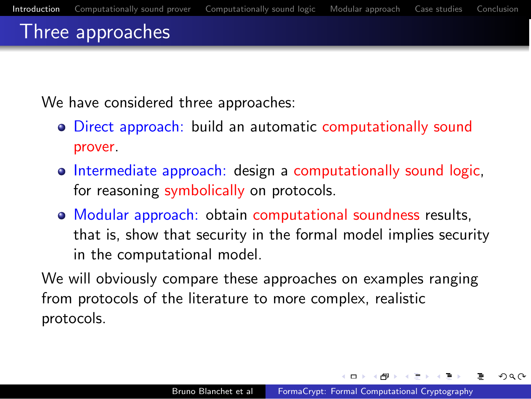## Three approaches

We have considered three approaches:

- Direct approach: build an automatic computationally sound prover.
- o Intermediate approach: design a computationally sound logic, for reasoning symbolically on protocols.
- Modular approach: obtain computational soundness results, that is, show that security in the formal model implies security in the computational model.

We will obviously compare these approaches on examples ranging from protocols of the literature to more complex, realistic protocols.

 $\Box$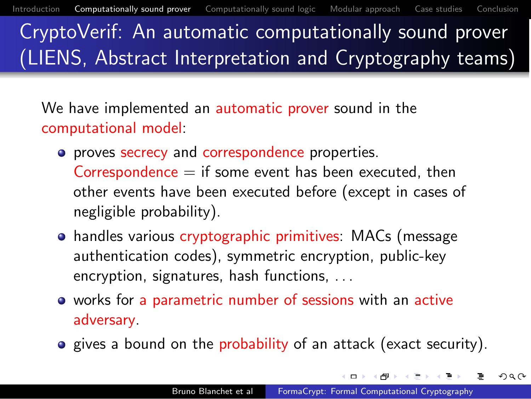CryptoVerif: An automatic computationally sound prover (LIENS, Abstract Interpretation and Cryptography teams)

We have implemented an automatic prover sound in the computational model:

- **•** proves secrecy and correspondence properties. Correspondence  $=$  if some event has been executed, then other events have been executed before (except in cases of negligible probability).
- handles various cryptographic primitives: MACs (message authentication codes), symmetric encryption, public-key encryption, signatures, hash functions, . ..
- works for a parametric number of sessions with an active adversary.
- <span id="page-4-0"></span>**•** gives a bound on the probability of an attack (exact security).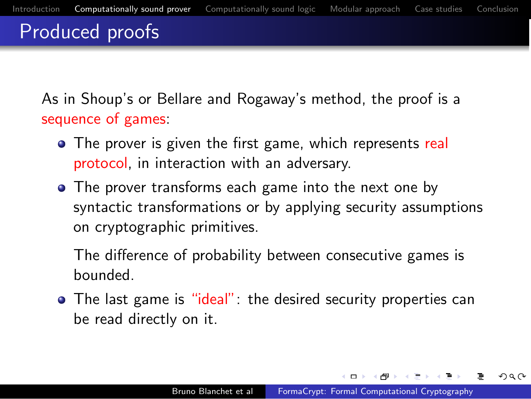## Produced proofs

As in Shoup's or Bellare and Rogaway's method, the proof is a sequence of games:

- The prover is given the first game, which represents real protocol, in interaction with an adversary.
- The prover transforms each game into the next one by syntactic transformations or by applying security assumptions on cryptographic primitives.

The difference of probability between consecutive games is bounded.

• The last game is "ideal": the desired security properties can be read directly on it.

 $\Box$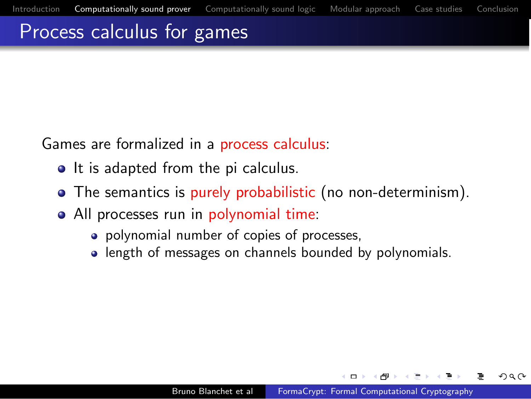## Process calculus for games

Games are formalized in a process calculus:

- It is adapted from the pi calculus.
- The semantics is purely probabilistic (no non-determinism).
- All processes run in polynomial time:
	- polynomial number of copies of processes,
	- length of messages on channels bounded by polynomials.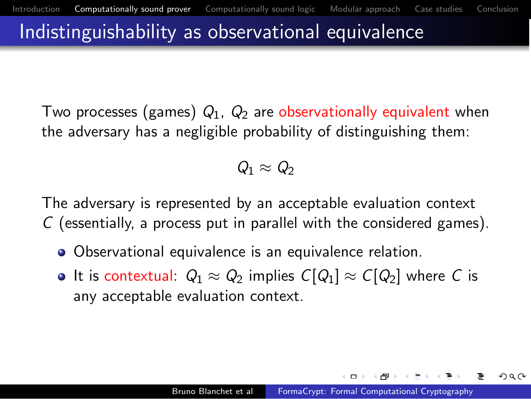### Indistinguishability as observational equivalence

Two processes (games)  $Q_1$ ,  $Q_2$  are observationally equivalent when the adversary has a negligible probability of distinguishing them:

### $Q_1 \approx Q_2$

The adversary is represented by an acceptable evaluation context C (essentially, a process put in parallel with the considered games).

- Observational equivalence is an equivalence relation.
- $\bullet$  It is contextual:  $Q_1 \approx Q_2$  implies  $C[Q_1] \approx C[Q_2]$  where C is any acceptable evaluation context.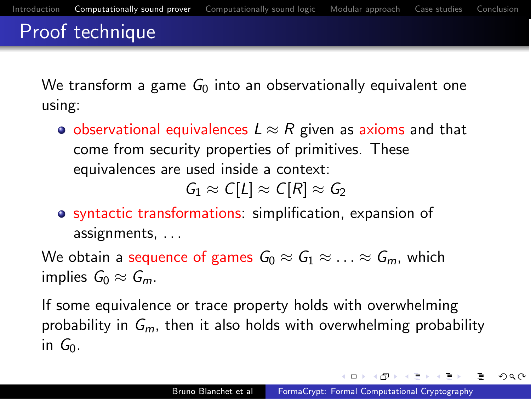## Proof technique

We transform a game  $G_0$  into an observationally equivalent one using:

• observational equivalences  $L \approx R$  given as axioms and that come from security properties of primitives. These equivalences are used inside a context:

 $G_1 \approx C[L] \approx C[R] \approx G_2$ 

syntactic transformations: simplification, expansion of assignments, .. .

We obtain a sequence of games  $G_0 \approx G_1 \approx \ldots \approx G_m$ , which implies  $G_0 \approx G_m$ .

If some equivalence or trace property holds with overwhelming probability in  $G_m$ , then it also holds with overwhelming probability in  $G_0$ .

 $-0.5$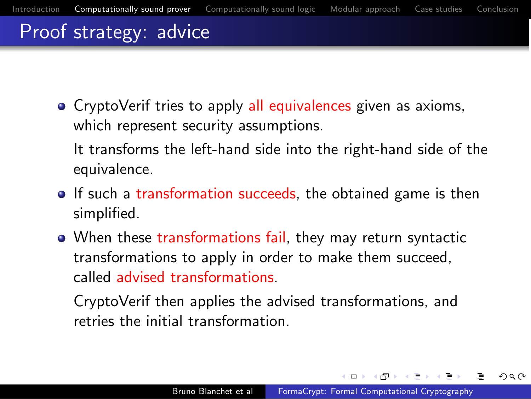## Proof strategy: advice

• CryptoVerif tries to apply all equivalences given as axioms, which represent security assumptions.

It transforms the left-hand side into the right-hand side of the equivalence.

- If such a transformation succeeds, the obtained game is then simplified.
- When these transformations fail, they may return syntactic transformations to apply in order to make them succeed, called advised transformations.

CryptoVerif then applies the advised transformations, and retries the initial transformation.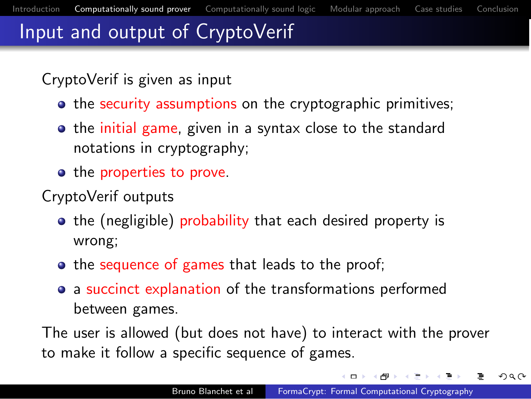## Input and output of CryptoVerif

#### CryptoVerif is given as input

- **•** the security assumptions on the cryptographic primitives;
- the initial game, given in a syntax close to the standard notations in cryptography;
- the properties to prove.
- CryptoVerif outputs
	- the (negligible) probability that each desired property is wrong;
	- the sequence of games that leads to the proof;
	- a succinct explanation of the transformations performed between games.

The user is allowed (but does not have) to interact with the prover to make it follow a specific sequence of games.

 $\Box$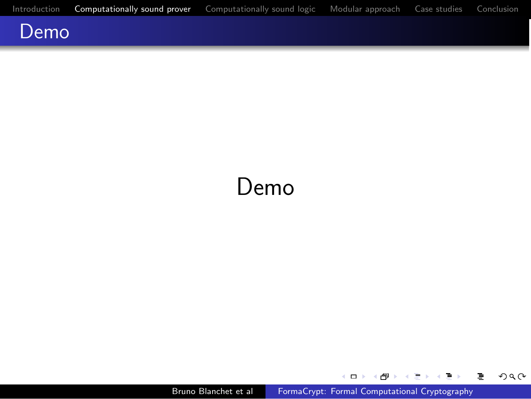

# Demo

Bruno Blanchet et al [FormaCrypt: Formal Computational Cryptography](#page-0-0)

 $\leftarrow$   $\Box$   $\rightarrow$ 

∢ ⁄ਾ

 $\sim$ 

重  $\,$ 重

×. Þ 目

 $2Q$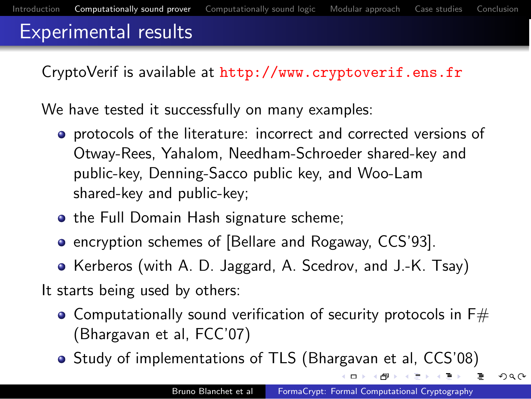## Experimental results

CryptoVerif is available at <http://www.cryptoverif.ens.fr>

We have tested it successfully on many examples:

- **•** protocols of the literature: incorrect and corrected versions of Otway-Rees, Yahalom, Needham-Schroeder shared-key and public-key, Denning-Sacco public key, and Woo-Lam shared-key and public-key;
- the Full Domain Hash signature scheme;
- **•** encryption schemes of [Bellare and Rogaway, CCS'93].
- Kerberos (with A. D. Jaggard, A. Scedrov, and J.-K. Tsay)

It starts being used by others:

- $\bullet$  Computationally sound verification of security protocols in F $\#$ (Bhargavan et al, FCC'07)
- Study of implementations of TLS (Bhargavan et al, CCS'08)

 $\Omega$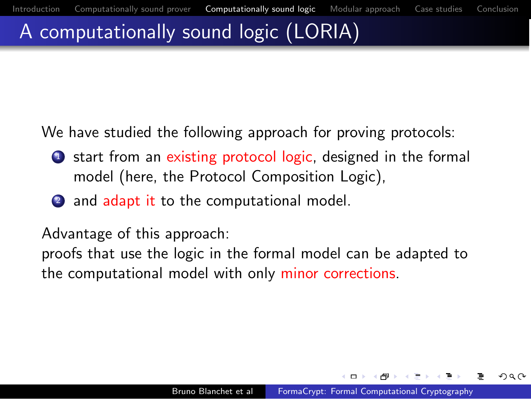## A computationally sound logic (LORIA)

We have studied the following approach for proving protocols:

- **1** start from an existing protocol logic, designed in the formal model (here, the Protocol Composition Logic),
- 2 and adapt it to the computational model.

Advantage of this approach:

<span id="page-13-0"></span>proofs that use the logic in the formal model can be adapted to the computational model with only minor corrections.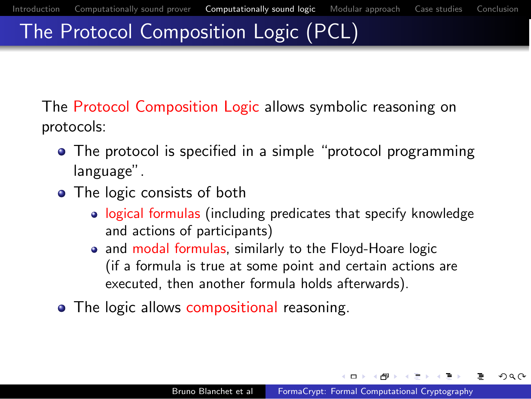## The Protocol Composition Logic (PCL)

The Protocol Composition Logic allows symbolic reasoning on protocols:

- The protocol is specified in a simple "protocol programming language".
- The logic consists of both
	- logical formulas (including predicates that specify knowledge and actions of participants)
	- and modal formulas, similarly to the Floyd-Hoare logic (if a formula is true at some point and certain actions are executed, then another formula holds afterwards).
- The logic allows compositional reasoning.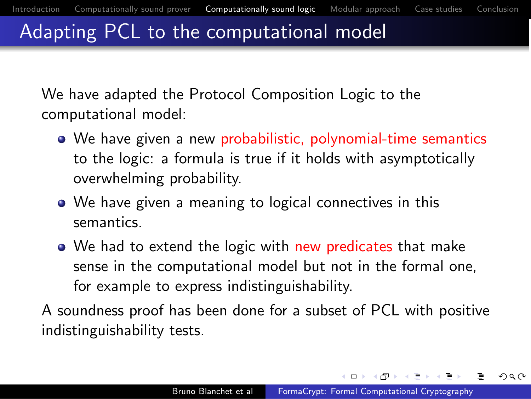## Adapting PCL to the computational model

We have adapted the Protocol Composition Logic to the computational model:

- We have given a new probabilistic, polynomial-time semantics to the logic: a formula is true if it holds with asymptotically overwhelming probability.
- We have given a meaning to logical connectives in this semantics.
- We had to extend the logic with new predicates that make sense in the computational model but not in the formal one, for example to express indistinguishability.

A soundness proof has been done for a subset of PCL with positive indistinguishability tests.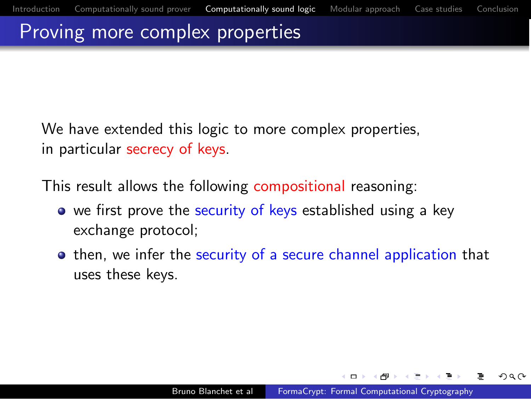## Proving more complex properties

We have extended this logic to more complex properties, in particular secrecy of keys.

This result allows the following compositional reasoning:

- we first prove the security of keys established using a key exchange protocol;
- <span id="page-16-0"></span>**•** then, we infer the security of a secure channel application that uses these keys.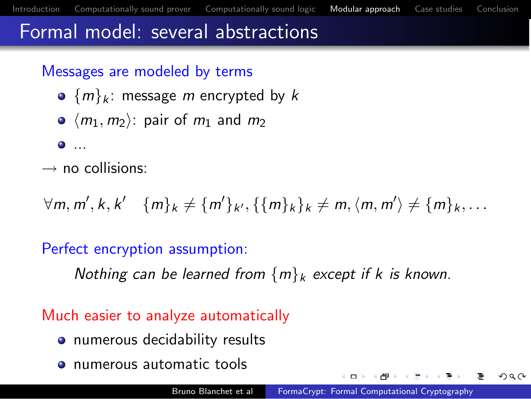## Formal model: several abstractions

#### Messages are modeled by terms

- ${m_k:$  message m encrypted by k
- $\bullet$   $\langle m_1, m_2 \rangle$ : pair of  $m_1$  and  $m_2$
- $\bullet$  ...
- $\rightarrow$  no collisions:

 $\forall m, m', k, k' \quad \{m\}_k \neq \{m'\}_{k'}, \{\{m\}_k\}_k \neq m, \langle m, m'\rangle \neq \{m\}_{k}, \dots$ 

#### Perfect encryption assumption:

Nothing can be learned from  ${m_k \xrightarrow{} xcept}$  if k is known.

#### Much easier to analyze automatically

- numerous decidability results
- <span id="page-17-0"></span>• numerous automatic tools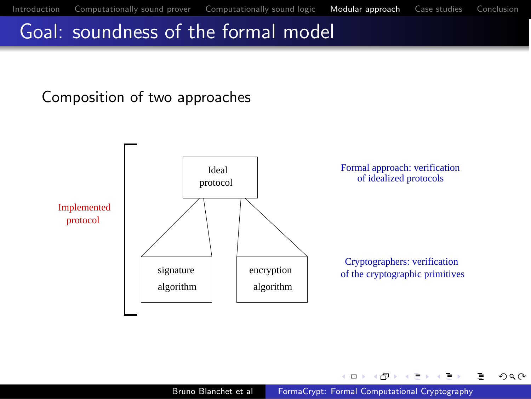$QQ$ 

∍

## Goal: soundness of the formal model

#### Composition of two approaches



4 D F

吊

 $\sim$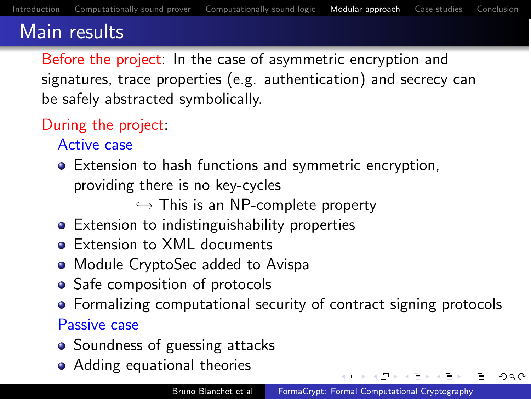## Main results

Before the project: In the case of asymmetric encryption and signatures, trace properties (e.g. authentication) and secrecy can be safely abstracted symbolically.

### During the project:

Active case

Extension to hash functions and symmetric encryption, providing there is no key-cycles

<span id="page-19-0"></span> $\hookrightarrow$  This is an NP-complete property

- Extension to indistinguishability properties
- **Extension to XML documents**
- Module CryptoSec added to Avispa
- Safe composition of protocols
- **•** Formalizing computational security of contract signing protocols

Passive case

- Soundness of guessing attacks
- Adding equational theories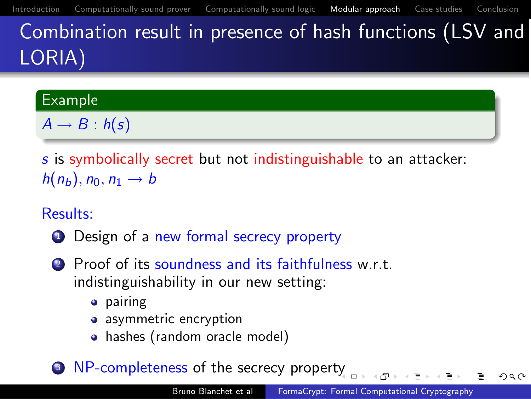Combination result in presence of hash functions (LSV and LORIA)

#### Example

 $A \rightarrow B : h(s)$ 

s is symbolically secret but not indistinguishable to an attacker:  $h(n_b)$ ,  $n_0$ ,  $n_1 \rightarrow b$ 

#### Results:

- **1** Design of a new formal secrecy property
- 2 Proof of its soundness and its faithfulness w.r.t. indistinguishability in our new setting:
	- **•** pairing
	- asymmetric encryption
	- hashes (random oracle model)
- <sup>3</sup> NP-completeness of the secrecy proper[ty](#page-19-0)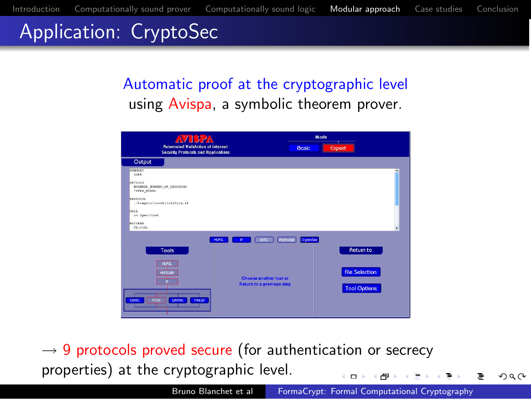## Application: CryptoSec

### Automatic proof at the cryptographic level using Avispa, a symbolic theorem prover.

| <b>AVISPA</b>                                                                                                                                                                                   | Mode                                                                                                                           |
|-------------------------------------------------------------------------------------------------------------------------------------------------------------------------------------------------|--------------------------------------------------------------------------------------------------------------------------------|
| <b>Rutomated Validation of Internet</b><br><b>Security Protocols and Applications</b>                                                                                                           | <b>Basic</b><br>Expert                                                                                                         |
| Output                                                                                                                                                                                          |                                                                                                                                |
| <b>STRINGS</b><br>33.98<br>DETAILS<br>BOUNDED HUMBER OF SESSIONS<br>TYPED_BODEL<br><b>PROTOCOL</b><br>./tempdic/sorkfileIsCysx.if<br><b>COAL</b><br>As Specified<br><b>BACKERDID</b><br>ChrAtSe | ٠                                                                                                                              |
| HUPSL                                                                                                                                                                                           | CruptoSac<br><b>MSC</b><br>Postscript<br><b>IF</b>                                                                             |
| <b>Tools</b><br><b>HLPSL</b><br><b>HUPSLEIF</b><br><b>ATSE</b><br>SATMO<br>OHAC<br><b>TAASP</b>                                                                                                 | <b>Return to</b><br><b>File Selection</b><br>Choose another tool or<br><b>Return to a previous step</b><br><b>Tool Options</b> |

 $\rightarrow$  9 protocols proved secure (for authentication or secrecy properties) at the cryptographic level.  $\Box$ 

 $\Omega$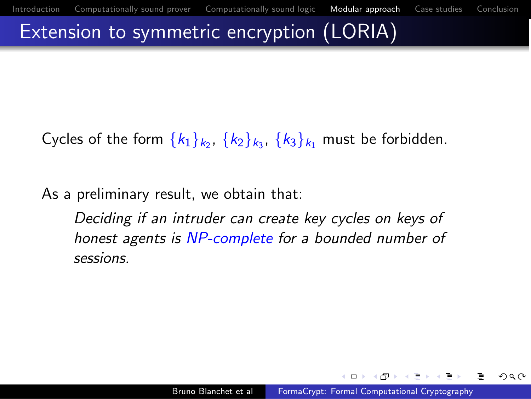## Extension to symmetric encryption (LORIA)

Cycles of the form  $\{k_1\}_{k_2}$ ,  $\{k_2\}_{k_3}$ ,  $\{k_3\}_{k_1}$  must be forbidden.

As a preliminary result, we obtain that:

<span id="page-22-0"></span>Deciding if an intruder can create key cycles on keys of honest agents is NP-complete for a bounded number of sessions.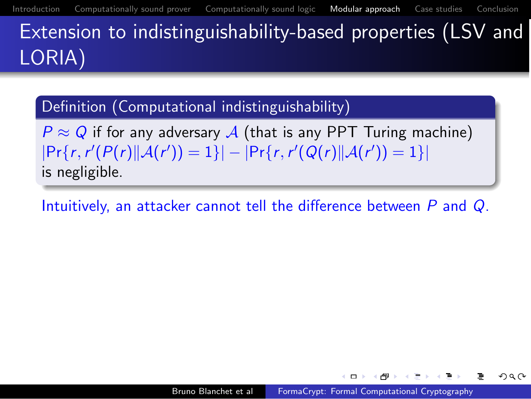Extension to indistinguishability-based properties (LSV and LORIA)

Definition (Computational indistinguishability)

 $P \approx Q$  if for any adversary A (that is any PPT Turing machine)  $|\Pr\{r, r'(P(r)||\mathcal{A}(r'))=1\}| - |\Pr\{r, r'(Q(r)||\mathcal{A}(r'))=1\}|$ is negligible.

<span id="page-23-0"></span>Intuitively, an attacker cannot tell the difference between P and Q.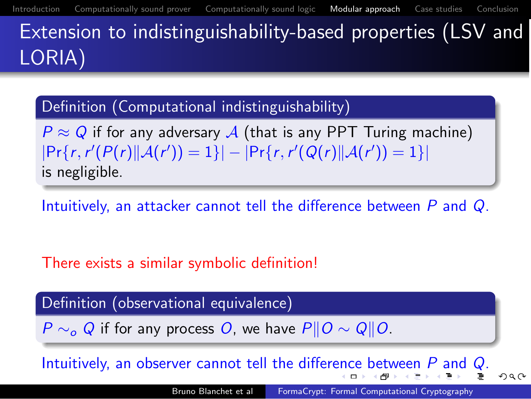LORIA)

Definition (Computational indistinguishability)

 $P \approx Q$  if for any adversary A (that is any PPT Turing machine)  $|\Pr\{r, r'(P(r)||\mathcal{A}(r'))=1\}| - |\Pr\{r, r'(Q(r)||\mathcal{A}(r'))=1\}|$ is negligible.

Intuitively, an attacker cannot tell the difference between P and Q.

There exists a similar symbolic definition!

Definition (observational equivalence)

 $P \sim_{\alpha} Q$  if for any process O, we have  $P||Q \sim Q||Q$ .

Intuitively, an observer cannot tell the differ[enc](#page-23-0)[e](#page-23-0) [b](#page-22-0)e[t](#page-24-0)[w](#page-25-0)[ee](#page-16-0)[n](#page-27-0) [P](#page-28-0) [a](#page-17-0)n[d](#page-28-0) [Q](#page-0-0).

<span id="page-24-0"></span> $\Omega$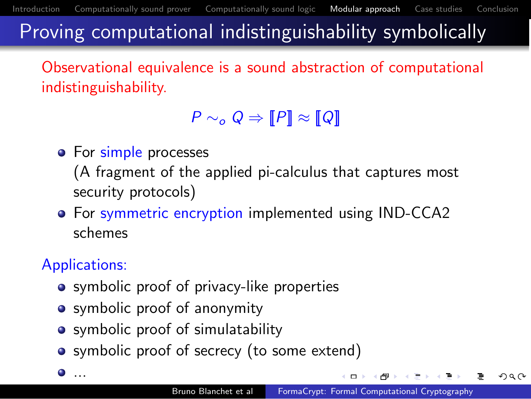<span id="page-25-0"></span>つくい

## Proving computational indistinguishability symbolically

Observational equivalence is a sound abstraction of computational indistinguishability.

## $P \sim_{\mathcal{O}} Q \Rightarrow [P] \approx [Q]$

• For simple processes

(A fragment of the applied pi-calculus that captures most security protocols)

**•** For symmetric encryption implemented using IND-CCA2 schemes

## Applications:

- symbolic proof of privacy-like properties
- symbolic proof of anonymity
- symbolic proof of simulatability
- symbolic proof of secrecy (to some extend)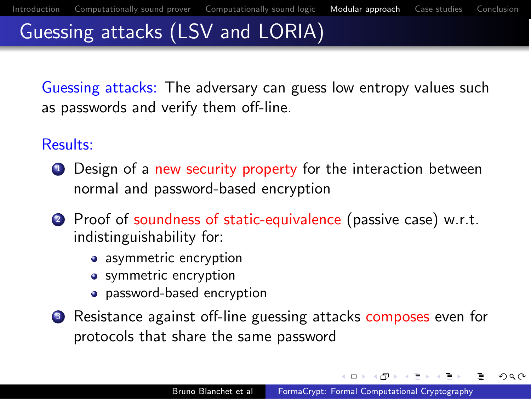つくい

# Guessing attacks (LSV and LORIA)

Guessing attacks: The adversary can guess low entropy values such as passwords and verify them off-line.

#### Results:

- **1** Design of a new security property for the interaction between normal and password-based encryption
- 2 Proof of soundness of static-equivalence (passive case) w.r.t. indistinguishability for:
	- asymmetric encryption
	- symmetric encryption
	- password-based encryption
- <sup>3</sup> Resistance against off-line guessing attacks composes even for protocols that share the same password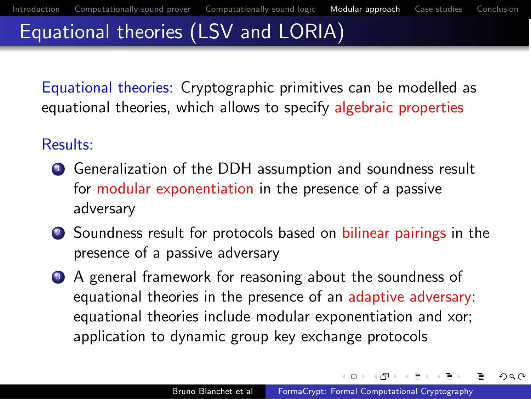<span id="page-27-0"></span>つくい

# Equational theories (LSV and LORIA)

Equational theories: Cryptographic primitives can be modelled as equational theories, which allows to specify algebraic properties

#### Results:

- <sup>1</sup> Generalization of the DDH assumption and soundness result for modular exponentiation in the presence of a passive adversary
- 2 Soundness result for protocols based on bilinear pairings in the presence of a passive adversary
- <sup>3</sup> A general framework for reasoning about the soundness of equational theories in the presence of an adaptive adversary: equational theories include modular exponentiation and xor; application to dynamic group key exchange protocols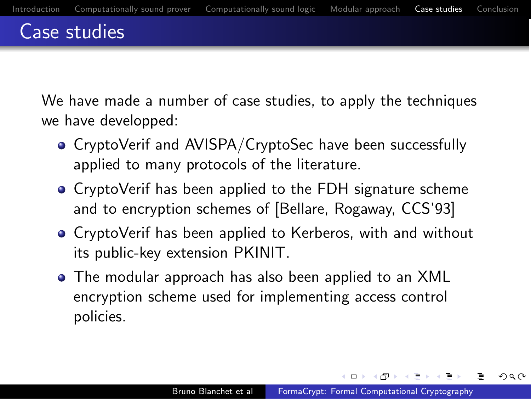## Case studies

We have made a number of case studies, to apply the techniques we have developped:

- CryptoVerif and AVISPA/CryptoSec have been successfully applied to many protocols of the literature.
- CryptoVerif has been applied to the FDH signature scheme and to encryption schemes of [Bellare, Rogaway, CCS'93]
- CryptoVerif has been applied to Kerberos, with and without its public-key extension PKINIT.
- The modular approach has also been applied to an XML encryption scheme used for implementing access control policies.

<span id="page-28-0"></span> $\Box$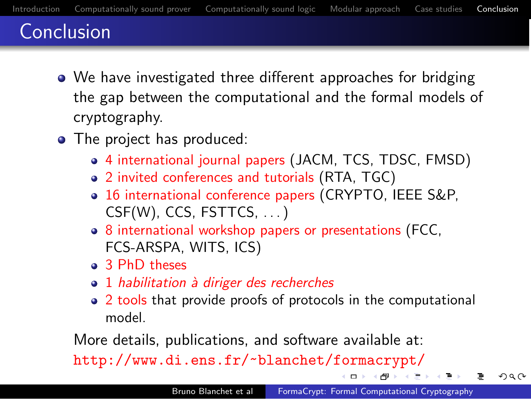## Conclusion

- We have investigated three different approaches for bridging the gap between the computational and the formal models of cryptography.
- The project has produced:
	- 4 international journal papers (JACM, TCS, TDSC, FMSD)
	- 2 invited conferences and tutorials (RTA, TGC)
	- 16 international conference papers (CRYPTO, IEEE S&P,  $CSF(W)$ , CCS, FSTTCS,  $\ldots$ )
	- 8 international workshop papers or presentations (FCC, FCS-ARSPA, WITS, ICS)
	- **a** 3 PhD theses
	- 1 habilitation à diriger des recherches
	- 2 tools that provide proofs of protocols in the computational model.

More details, publications, and software available at:

<http://www.di.ens.fr/~blanchet/formacrypt/>

<span id="page-29-0"></span> $\Omega$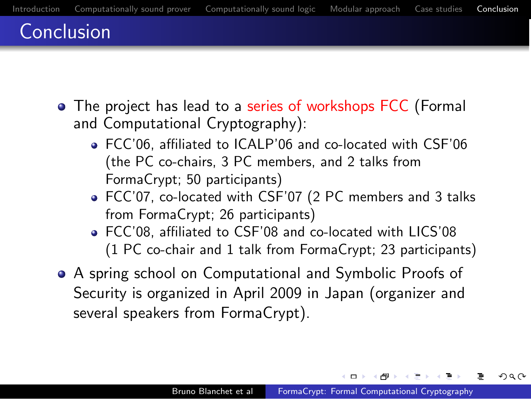## Conclusion

- The project has lead to a series of workshops FCC (Formal and Computational Cryptography):
	- FCC'06, affiliated to ICALP'06 and co-located with CSF'06 (the PC co-chairs, 3 PC members, and 2 talks from FormaCrypt; 50 participants)
	- FCC'07, co-located with CSF'07 (2 PC members and 3 talks from FormaCrypt; 26 participants)
	- FCC'08, affiliated to CSF'08 and co-located with LICS'08 (1 PC co-chair and 1 talk from FormaCrypt; 23 participants)
- A spring school on Computational and Symbolic Proofs of Security is organized in April 2009 in Japan (organizer and several speakers from FormaCrypt).

<span id="page-30-0"></span> $\Box$ 

つひひ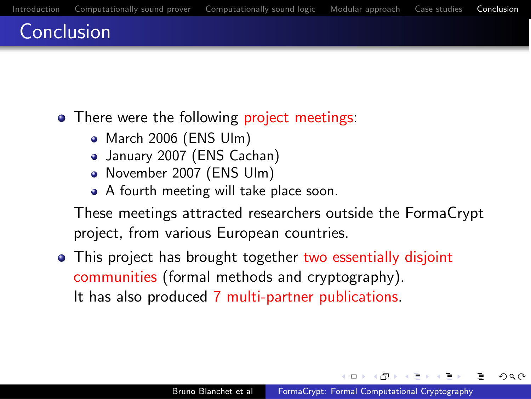## Conclusion

• There were the following project meetings:

- March 2006 (ENS Ulm)
- January 2007 (ENS Cachan)
- November 2007 (ENS Ulm)
- A fourth meeting will take place soon.

These meetings attracted researchers outside the FormaCrypt project, from various European countries.

• This project has brought together two essentially disjoint communities (formal methods and cryptography). It has also produced 7 multi-partner publications.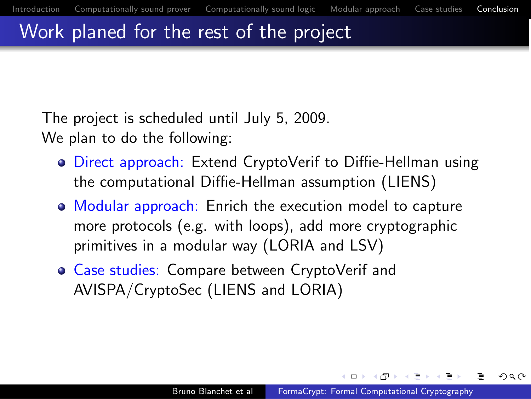つくい

## Work planed for the rest of the project

The project is scheduled until July 5, 2009. We plan to do the following:

- **Direct approach:** Extend CryptoVerif to Diffie-Hellman using the computational Diffie-Hellman assumption (LIENS)
- Modular approach: Enrich the execution model to capture more protocols (e.g. with loops), add more cryptographic primitives in a modular way (LORIA and LSV)
- Case studies: Compare between CryptoVerif and AVISPA/CryptoSec (LIENS and LORIA)